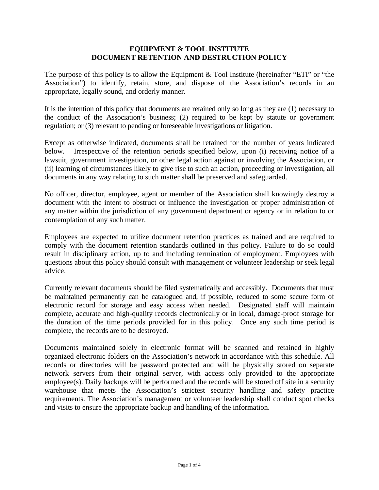## **EQUIPMENT & TOOL INSTITUTE DOCUMENT RETENTION AND DESTRUCTION POLICY**

The purpose of this policy is to allow the Equipment & Tool Institute (hereinafter "ETI" or "the Association") to identify, retain, store, and dispose of the Association's records in an appropriate, legally sound, and orderly manner.

It is the intention of this policy that documents are retained only so long as they are (1) necessary to the conduct of the Association's business; (2) required to be kept by statute or government regulation; or (3) relevant to pending or foreseeable investigations or litigation.

Except as otherwise indicated, documents shall be retained for the number of years indicated below. Irrespective of the retention periods specified below, upon (i) receiving notice of a lawsuit, government investigation, or other legal action against or involving the Association, or (ii) learning of circumstances likely to give rise to such an action, proceeding or investigation, all documents in any way relating to such matter shall be preserved and safeguarded.

No officer, director, employee, agent or member of the Association shall knowingly destroy a document with the intent to obstruct or influence the investigation or proper administration of any matter within the jurisdiction of any government department or agency or in relation to or contemplation of any such matter.

Employees are expected to utilize document retention practices as trained and are required to comply with the document retention standards outlined in this policy. Failure to do so could result in disciplinary action, up to and including termination of employment. Employees with questions about this policy should consult with management or volunteer leadership or seek legal advice.

Currently relevant documents should be filed systematically and accessibly. Documents that must be maintained permanently can be catalogued and, if possible, reduced to some secure form of electronic record for storage and easy access when needed. Designated staff will maintain complete, accurate and high-quality records electronically or in local, damage-proof storage for the duration of the time periods provided for in this policy. Once any such time period is complete, the records are to be destroyed.

Documents maintained solely in electronic format will be scanned and retained in highly organized electronic folders on the Association's network in accordance with this schedule. All records or directories will be password protected and will be physically stored on separate network servers from their original server, with access only provided to the appropriate employee(s). Daily backups will be performed and the records will be stored off site in a security warehouse that meets the Association's strictest security handling and safety practice requirements. The Association's management or volunteer leadership shall conduct spot checks and visits to ensure the appropriate backup and handling of the information.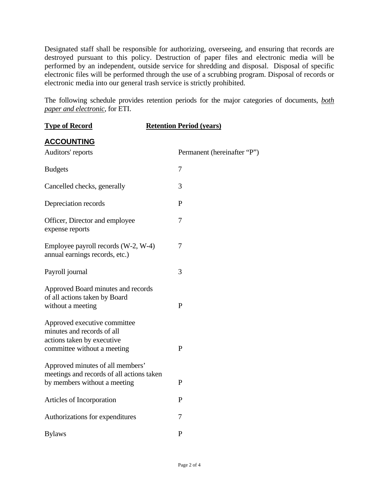Designated staff shall be responsible for authorizing, overseeing, and ensuring that records are destroyed pursuant to this policy. Destruction of paper files and electronic media will be performed by an independent, outside service for shredding and disposal. Disposal of specific electronic files will be performed through the use of a scrubbing program. Disposal of records or electronic media into our general trash service is strictly prohibited.

The following schedule provides retention periods for the major categories of documents, *both paper and electronic*, for ETI.

| <b>Type of Record</b>                                                                                                   | <b>Retention Period (years)</b> |
|-------------------------------------------------------------------------------------------------------------------------|---------------------------------|
| <b>ACCOUNTING</b><br>Auditors' reports                                                                                  | Permanent (hereinafter "P")     |
| <b>Budgets</b>                                                                                                          | 7                               |
| Cancelled checks, generally                                                                                             | 3                               |
| Depreciation records                                                                                                    | $\mathbf{P}$                    |
| Officer, Director and employee<br>expense reports                                                                       | 7                               |
| Employee payroll records (W-2, W-4)<br>annual earnings records, etc.)                                                   | 7                               |
| Payroll journal                                                                                                         | 3                               |
| Approved Board minutes and records<br>of all actions taken by Board<br>without a meeting                                | $\mathbf{P}$                    |
| Approved executive committee<br>minutes and records of all<br>actions taken by executive<br>committee without a meeting | $\mathbf{P}$                    |
| Approved minutes of all members'<br>meetings and records of all actions taken<br>by members without a meeting           | $\mathbf{P}$                    |
| Articles of Incorporation                                                                                               | $\mathbf{P}$                    |
| Authorizations for expenditures                                                                                         | 7                               |
| <b>Bylaws</b>                                                                                                           | $\mathbf{P}$                    |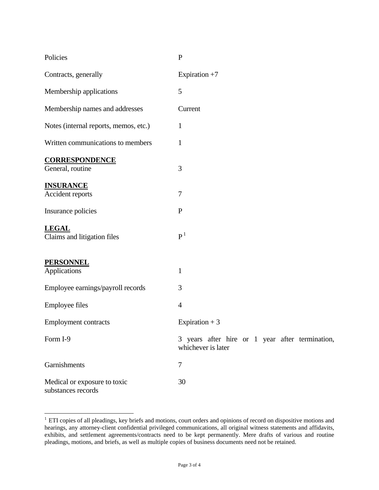| Policies                                           | $\mathbf{P}$                                                          |
|----------------------------------------------------|-----------------------------------------------------------------------|
| Contracts, generally                               | Expiration $+7$                                                       |
| Membership applications                            | 5                                                                     |
| Membership names and addresses                     | Current                                                               |
| Notes (internal reports, memos, etc.)              | 1                                                                     |
| Written communications to members                  | $\mathbf{1}$                                                          |
| <b>CORRESPONDENCE</b><br>General, routine          | 3                                                                     |
| <b>INSURANCE</b><br>Accident reports               | $\tau$                                                                |
| Insurance policies                                 | $\mathbf P$                                                           |
| <b>LEGAL</b><br>Claims and litigation files        | P <sup>1</sup>                                                        |
| <b>PERSONNEL</b><br>Applications                   | $\mathbf{1}$                                                          |
| Employee earnings/payroll records                  | 3                                                                     |
| <b>Employee files</b>                              | $\overline{4}$                                                        |
| <b>Employment contracts</b>                        | Expiration $+3$                                                       |
| Form I-9                                           | 3 years after hire or 1 year after termination,<br>whichever is later |
| Garnishments                                       | 7                                                                     |
| Medical or exposure to toxic<br>substances records | 30                                                                    |

 $1$  ETI copies of all pleadings, key briefs and motions, court orders and opinions of record on dispositive motions and hearings, any attorney-client confidential privileged communications, all original witness statements and affidavits, exhibits, and settlement agreements/contracts need to be kept permanently. Mere drafts of various and routine pleadings, motions, and briefs, as well as multiple copies of business documents need not be retained.

 $\overline{a}$